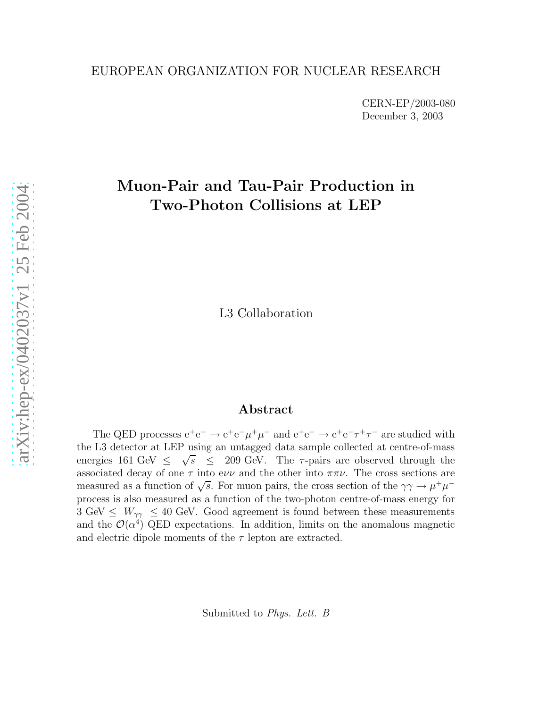#### EUROPEAN ORGANIZATION FOR NUCLEAR RESEARCH

CERN-EP/2003-080 December 3, 2003

## Muon-Pair and Tau-Pair Production in Two-Photon Collisions at LEP

L3 Collaboration

#### Abstract

The QED processes  $e^+e^- \to e^+e^-\mu^+\mu^-$  and  $e^+e^- \to e^+e^-\tau^+\tau^-$  are studied with the L3 detector at LEP using an untagged data sample collected at centre-of-mass energies 161 GeV ≤  $\sqrt{s}$   $\leq$  209 GeV. The  $\tau$ -pairs are observed through the associated decay of one  $\tau$  into evv and the other into  $\pi\pi\nu$ . The cross sections are measured as a function of  $\sqrt{s}$ . For muon pairs, the cross section of the  $\gamma\gamma \to \mu^+\mu^$ process is also measured as a function of the two-photon centre-of-mass energy for  $3 \text{ GeV} \leq W_{\gamma\gamma} \leq 40 \text{ GeV}$ . Good agreement is found between these measurements and the  $\mathcal{O}(\alpha^4)$  QED expectations. In addition, limits on the anomalous magnetic and electric dipole moments of the  $\tau$  lepton are extracted.

Submitted to Phys. Lett. B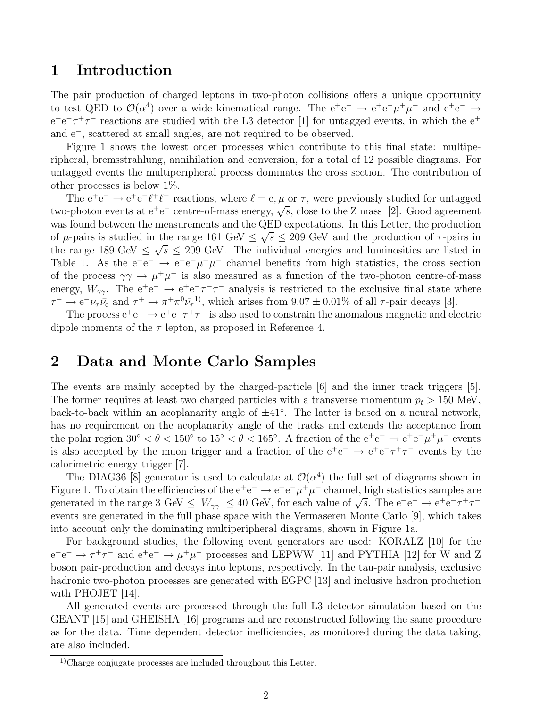### 1 Introduction

The pair production of charged leptons in two-photon collisions offers a unique opportunity to test QED to  $\mathcal{O}(\alpha^4)$  over a wide kinematical range. The  $e^+e^- \rightarrow e^+e^-\mu^+\mu^-$  and  $e^+e^- \rightarrow$  $e^+e^-\tau^+\tau^-$  reactions are studied with the L3 detector [1] for untagged events, in which the  $e^+$ and e<sup>−</sup>, scattered at small angles, are not required to be observed.

Figure 1 shows the lowest order processes which contribute to this final state: multiperipheral, bremsstrahlung, annihilation and conversion, for a total of 12 possible diagrams. For untagged events the multiperipheral process dominates the cross section. The contribution of other processes is below 1%.

The  $e^+e^- \rightarrow e^+e^- \ell^+ \ell^-$  reactions, where  $\ell = e, \mu$  or  $\tau$ , were previously studied for untagged two-photon events at  $e^+e^-$  centre-of-mass energy,  $\sqrt{s}$ , close to the Z mass [2]. Good agreement was found between the measurements and the QED expectations. In this Letter, the production of  $\mu$ -pairs is studied in the range 161 GeV  $\leq \sqrt{s} \leq 209$  GeV and the production of  $\tau$ -pairs in the range 189 GeV  $\leq \sqrt{s} \leq 209$  GeV. The individual energies and luminosities are listed in Table 1. As the  $e^+e^- \rightarrow e^+e^-\mu^+\mu^-$  channel benefits from high statistics, the cross section of the process  $\gamma \gamma \to \mu^+ \mu^-$  is also measured as a function of the two-photon centre-of-mass energy,  $W_{\gamma\gamma}$ . The  $e^+e^- \rightarrow e^+e^-\tau^+\tau^-$  analysis is restricted to the exclusive final state where  $\tau^- \to e^- \nu_\tau \bar{\nu}_e$  and  $\tau^+ \to \pi^+ \pi^0 \bar{\nu}_\tau^{-1}$ , which arises from  $9.07 \pm 0.01\%$  of all  $\tau$ -pair decays [3].

The process  $e^+e^- \to e^+e^-\tau^+\tau^-$  is also used to constrain the anomalous magnetic and electric dipole moments of the  $\tau$  lepton, as proposed in Reference 4.

### 2 Data and Monte Carlo Samples

The events are mainly accepted by the charged-particle [6] and the inner track triggers [5]. The former requires at least two charged particles with a transverse momentum  $p_t > 150$  MeV, back-to-back within an acoplanarity angle of <sup>±</sup>41◦ . The latter is based on a neural network, has no requirement on the acoplanarity angle of the tracks and extends the acceptance from the polar region  $30° < \theta < 150°$  to  $15° < \theta < 165°$ . A fraction of the  $e^+e^- \to e^+e^-\mu^+\mu^-$  events is also accepted by the muon trigger and a fraction of the  $e^+e^- \rightarrow e^+e^- \tau^+ \tau^-$  events by the calorimetric energy trigger [7].

The DIAG36 [8] generator is used to calculate at  $\mathcal{O}(\alpha^4)$  the full set of diagrams shown in Figure 1. To obtain the efficiencies of the  $e^+e^- \to e^+e^-\mu^+\mu^-$  channel, high statistics samples are generated in the range 3 GeV  $\leq W_{\gamma\gamma} \leq 40$  GeV, for each value of  $\sqrt{s}$ . The  $e^+e^- \to e^+e^- \tau^+ \tau^$ events are generated in the full phase space with the Vermaseren Monte Carlo [9], which takes into account only the dominating multiperipheral diagrams, shown in Figure 1a.

For background studies, the following event generators are used: KORALZ [10] for the  $e^+e^- \rightarrow \tau^+\tau^-$  and  $e^+e^- \rightarrow \mu^+\mu^-$  processes and LEPWW [11] and PYTHIA [12] for W and Z boson pair-production and decays into leptons, respectively. In the tau-pair analysis, exclusive hadronic two-photon processes are generated with EGPC [13] and inclusive hadron production with PHOJET [14].

All generated events are processed through the full L3 detector simulation based on the GEANT [15] and GHEISHA [16] programs and are reconstructed following the same procedure as for the data. Time dependent detector inefficiencies, as monitored during the data taking, are also included.

<sup>&</sup>lt;sup>1)</sup>Charge conjugate processes are included throughout this Letter.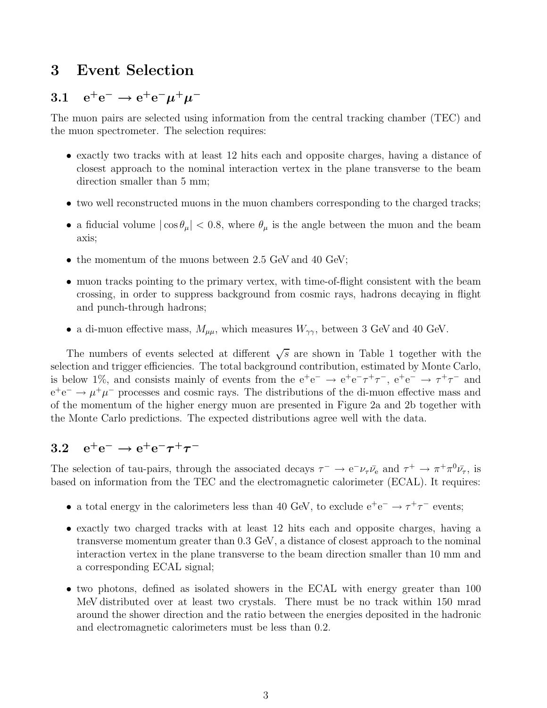## 3 Event Selection

# 3.1  $e^+e^- \rightarrow e^+e^-\mu^+\mu^-$

The muon pairs are selected using information from the central tracking chamber (TEC) and the muon spectrometer. The selection requires:

- exactly two tracks with at least 12 hits each and opposite charges, having a distance of closest approach to the nominal interaction vertex in the plane transverse to the beam direction smaller than 5 mm;
- two well reconstructed muons in the muon chambers corresponding to the charged tracks;
- a fiducial volume  $|\cos \theta_{\mu}| < 0.8$ , where  $\theta_{\mu}$  is the angle between the muon and the beam axis;
- the momentum of the muons between 2.5 GeV and 40 GeV;
- muon tracks pointing to the primary vertex, with time-of-flight consistent with the beam crossing, in order to suppress background from cosmic rays, hadrons decaying in flight and punch-through hadrons;
- a di-muon effective mass,  $M_{\mu\mu}$ , which measures  $W_{\gamma\gamma}$ , between 3 GeV and 40 GeV.

The numbers of events selected at different  $\sqrt{s}$  are shown in Table 1 together with the selection and trigger efficiencies. The total background contribution, estimated by Monte Carlo, is below 1%, and consists mainly of events from the  $e^+e^- \rightarrow e^+e^-\tau^+\tau^-$ ,  $e^+e^- \rightarrow \tau^+\tau^-$  and  $e^+e^- \rightarrow \mu^+\mu^-$  processes and cosmic rays. The distributions of the di-muon effective mass and of the momentum of the higher energy muon are presented in Figure 2a and 2b together with the Monte Carlo predictions. The expected distributions agree well with the data.

# 3.2  $e^+e^- \rightarrow e^+e^- \tau^+ \tau^-$

The selection of tau-pairs, through the associated decays  $\tau^- \to e^- \nu_\tau \bar{\nu}_e$  and  $\tau^+ \to \pi^+ \pi^0 \bar{\nu}_\tau$ , is based on information from the TEC and the electromagnetic calorimeter (ECAL). It requires:

- a total energy in the calorimeters less than 40 GeV, to exclude  $e^+e^- \rightarrow \tau^+\tau^-$  events;
- exactly two charged tracks with at least 12 hits each and opposite charges, having a transverse momentum greater than 0.3 GeV, a distance of closest approach to the nominal interaction vertex in the plane transverse to the beam direction smaller than 10 mm and a corresponding ECAL signal;
- two photons, defined as isolated showers in the ECAL with energy greater than 100 MeV distributed over at least two crystals. There must be no track within 150 mrad around the shower direction and the ratio between the energies deposited in the hadronic and electromagnetic calorimeters must be less than 0.2.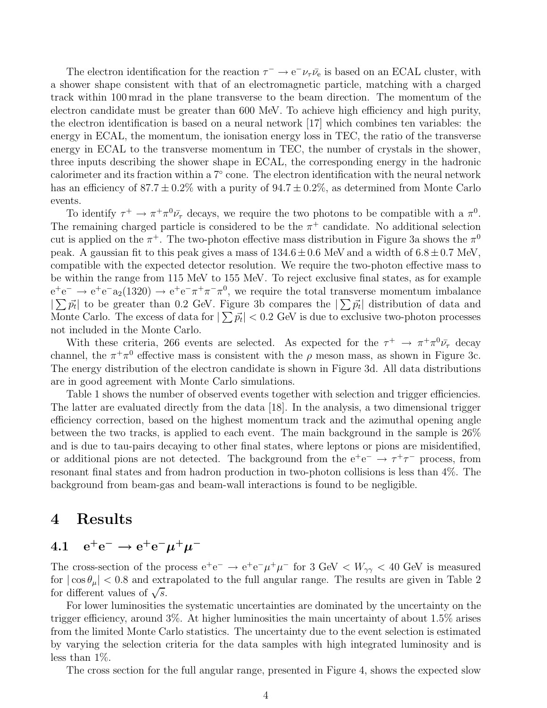The electron identification for the reaction  $\tau^- \to e^- \nu_\tau \bar{\nu}_e$  is based on an ECAL cluster, with a shower shape consistent with that of an electromagnetic particle, matching with a charged track within 100 mrad in the plane transverse to the beam direction. The momentum of the electron candidate must be greater than 600 MeV. To achieve high efficiency and high purity, the electron identification is based on a neural network [17] which combines ten variables: the energy in ECAL, the momentum, the ionisation energy loss in TEC, the ratio of the transverse energy in ECAL to the transverse momentum in TEC, the number of crystals in the shower, three inputs describing the shower shape in ECAL, the corresponding energy in the hadronic calorimeter and its fraction within a 7◦ cone. The electron identification with the neural network has an efficiency of  $87.7 \pm 0.2\%$  with a purity of  $94.7 \pm 0.2\%$ , as determined from Monte Carlo events.

To identify  $\tau^+ \to \pi^+ \pi^0 \bar{\nu}_{\tau}$  decays, we require the two photons to be compatible with a  $\pi^0$ . The remaining charged particle is considered to be the  $\pi^+$  candidate. No additional selection cut is applied on the  $\pi^+$ . The two-photon effective mass distribution in Figure 3a shows the  $\pi^0$ peak. A gaussian fit to this peak gives a mass of  $134.6 \pm 0.6$  MeV and a width of  $6.8 \pm 0.7$  MeV, compatible with the expected detector resolution. We require the two-photon effective mass to be within the range from 115 MeV to 155 MeV. To reject exclusive final states, as for example  $e^+e^- \rightarrow e^+e^-a_2(1320) \rightarrow e^+e^-\pi^+\pi^-\pi^0$ , we require the total transverse momentum imbalance  $\sum \vec{p}_t$  to be greater than 0.2 GeV. Figure 3b compares the  $\sum \vec{p}_t$  distribution of data and Monte Carlo. The excess of data for  $|\sum \vec{p_t}| < 0.2$  GeV is due to exclusive two-photon processes not included in the Monte Carlo.

With these criteria, 266 events are selected. As expected for the  $\tau^+ \to \pi^+ \pi^0 \bar{\nu}_{\tau}$  decay channel, the  $\pi^+\pi^0$  effective mass is consistent with the  $\rho$  meson mass, as shown in Figure 3c. The energy distribution of the electron candidate is shown in Figure 3d. All data distributions are in good agreement with Monte Carlo simulations.

Table 1 shows the number of observed events together with selection and trigger efficiencies. The latter are evaluated directly from the data [18]. In the analysis, a two dimensional trigger efficiency correction, based on the highest momentum track and the azimuthal opening angle between the two tracks, is applied to each event. The main background in the sample is 26% and is due to tau-pairs decaying to other final states, where leptons or pions are misidentified, or additional pions are not detected. The background from the  $e^+e^- \rightarrow \tau^+\tau^-$  process, from resonant final states and from hadron production in two-photon collisions is less than 4%. The background from beam-gas and beam-wall interactions is found to be negligible.

#### 4 Results

# 4.1  $e^+e^- \rightarrow e^+e^-\mu^+\mu^-$

The cross-section of the process  $e^+e^- \rightarrow e^+e^-\mu^+\mu^-$  for 3 GeV  $< W_{\gamma\gamma} < 40$  GeV is measured for  $|\cos \theta_{\mu}| < 0.8$  and extrapolated to the full angular range. The results are given in Table 2 for different values of  $\sqrt{s}$ .

For lower luminosities the systematic uncertainties are dominated by the uncertainty on the trigger efficiency, around 3%. At higher luminosities the main uncertainty of about 1.5% arises from the limited Monte Carlo statistics. The uncertainty due to the event selection is estimated by varying the selection criteria for the data samples with high integrated luminosity and is less than 1%.

The cross section for the full angular range, presented in Figure 4, shows the expected slow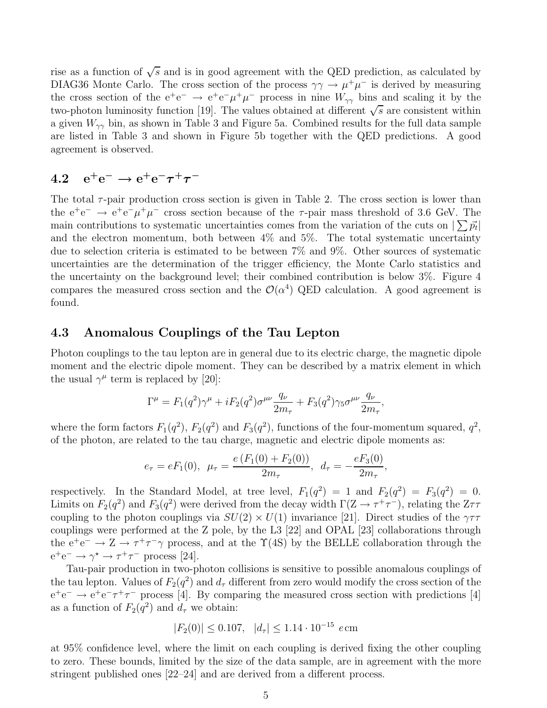rise as a function of  $\sqrt{s}$  and is in good agreement with the QED prediction, as calculated by DIAG36 Monte Carlo. The cross section of the process  $\gamma\gamma \to \mu^+\mu^-$  is derived by measuring the cross section of the  $e^+e^- \rightarrow e^+e^-\mu^+\mu^-$  process in nine  $W_{\gamma\gamma}$  bins and scaling it by the two-photon luminosity function [19]. The values obtained at different  $\sqrt{s}$  are consistent within a given  $W_{\gamma\gamma}$  bin, as shown in Table 3 and Figure 5a. Combined results for the full data sample are listed in Table 3 and shown in Figure 5b together with the QED predictions. A good agreement is observed.

# 4.2  $e^+e^- \rightarrow e^+e^- \tau^+ \tau^-$

The total  $\tau$ -pair production cross section is given in Table 2. The cross section is lower than the  $e^+e^- \rightarrow e^+e^-\mu^+\mu^-$  cross section because of the  $\tau$ -pair mass threshold of 3.6 GeV. The main contributions to systematic uncertainties comes from the variation of the cuts on  $\sum \vec{p}_t$ and the electron momentum, both between 4% and 5%. The total systematic uncertainty due to selection criteria is estimated to be between 7% and 9%. Other sources of systematic uncertainties are the determination of the trigger efficiency, the Monte Carlo statistics and the uncertainty on the background level; their combined contribution is below 3%. Figure 4 compares the measured cross section and the  $\mathcal{O}(\alpha^4)$  QED calculation. A good agreement is found.

#### 4.3 Anomalous Couplings of the Tau Lepton

Photon couplings to the tau lepton are in general due to its electric charge, the magnetic dipole moment and the electric dipole moment. They can be described by a matrix element in which the usual  $\gamma^{\mu}$  term is replaced by [20]:

$$
\Gamma^{\mu} = F_1(q^2)\gamma^{\mu} + iF_2(q^2)\sigma^{\mu\nu}\frac{q_{\nu}}{2m_{\tau}} + F_3(q^2)\gamma_5\sigma^{\mu\nu}\frac{q_{\nu}}{2m_{\tau}},
$$

where the form factors  $F_1(q^2)$ ,  $F_2(q^2)$  and  $F_3(q^2)$ , functions of the four-momentum squared,  $q^2$ , of the photon, are related to the tau charge, magnetic and electric dipole moments as:

$$
e_{\tau} = eF_1(0), \ \mu_{\tau} = \frac{e(F_1(0) + F_2(0))}{2m_{\tau}}, \ \ d_{\tau} = -\frac{eF_3(0)}{2m_{\tau}},
$$

respectively. In the Standard Model, at tree level,  $F_1(q^2) = 1$  and  $F_2(q^2) = F_3(q^2) = 0$ . Limits on  $F_2(q^2)$  and  $F_3(q^2)$  were derived from the decay width  $\Gamma(Z \to \tau^+ \tau^-)$ , relating the  $Z\tau\tau$ coupling to the photon couplings via  $SU(2) \times U(1)$  invariance [21]. Direct studies of the  $\gamma \tau \tau$ couplings were performed at the Z pole, by the L3 [22] and OPAL [23] collaborations through the  $e^+e^- \to Z \to \tau^+\tau^-\gamma$  process, and at the  $\Upsilon(4S)$  by the BELLE collaboration through the  $e^+e^- \rightarrow \gamma^* \rightarrow \tau^+\tau^-$  process [24].

Tau-pair production in two-photon collisions is sensitive to possible anomalous couplings of the tau lepton. Values of  $F_2(q^2)$  and  $d_\tau$  different from zero would modify the cross section of the  $e^+e^- \rightarrow e^+e^-\tau^+\tau^-$  process [4]. By comparing the measured cross section with predictions [4] as a function of  $F_2(q^2)$  and  $d_\tau$  we obtain:

$$
|F_2(0)| \le 0.107, \quad |d_\tau| \le 1.14 \cdot 10^{-15} \text{ e cm}
$$

at 95% confidence level, where the limit on each coupling is derived fixing the other coupling to zero. These bounds, limited by the size of the data sample, are in agreement with the more stringent published ones [22–24] and are derived from a different process.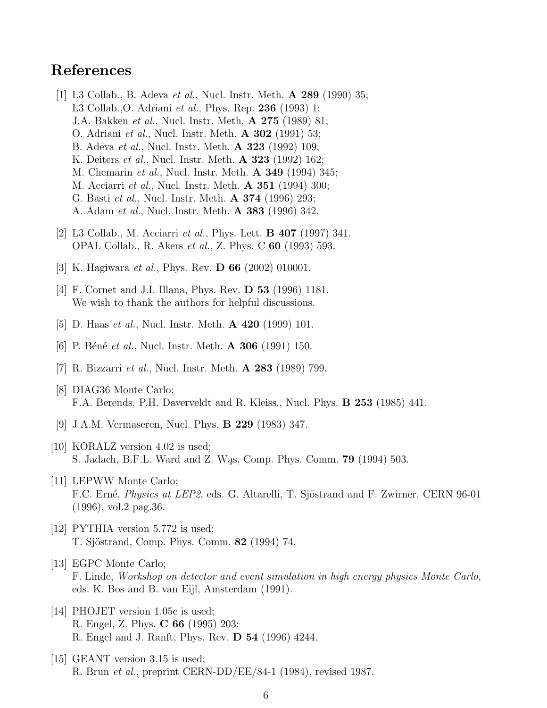## References

- [1] L3 Collab., B. Adeva et al., Nucl. Instr. Meth. A 289 (1990) 35; L3 Collab.,O. Adriani et al., Phys. Rep. 236 (1993) 1; J.A. Bakken et al., Nucl. Instr. Meth. A 275 (1989) 81; O. Adriani et al., Nucl. Instr. Meth. A 302 (1991) 53; B. Adeva et al., Nucl. Instr. Meth. A 323 (1992) 109; K. Deiters *et al.*, Nucl. Instr. Meth. **A 323** (1992) 162; M. Chemarin et al., Nucl. Instr. Meth. A 349 (1994) 345; M. Acciarri et al., Nucl. Instr. Meth. A 351 (1994) 300; G. Basti et al., Nucl. Instr. Meth. A 374 (1996) 293; A. Adam et al., Nucl. Instr. Meth. A 383 (1996) 342.
- [2] L3 Collab., M. Acciarri et al., Phys. Lett. B 407 (1997) 341. OPAL Collab., R. Akers et al., Z. Phys. C 60 (1993) 593.
- [3] K. Hagiwara *et al.*, Phys. Rev. **D 66** (2002) 010001.
- [4] F. Cornet and J.I. Illana, Phys. Rev. **D 53** (1996) 1181. We wish to thank the authors for helpful discussions.
- [5] D. Haas *et al.*, Nucl. Instr. Meth. **A 420** (1999) 101.
- [6] P. Béné et al., Nucl. Instr. Meth.  $\bf{A}$  306 (1991) 150.
- [7] R. Bizzarri et al., Nucl. Instr. Meth. A 283 (1989) 799.
- [8] DIAG36 Monte Carlo; F.A. Berends, P.H. Daverveldt and R. Kleiss., Nucl. Phys. B 253 (1985) 441.
- [9] J.A.M. Vermaseren, Nucl. Phys. B 229 (1983) 347.
- [10] KORALZ version 4.02 is used; S. Jadach, B.F.L. Ward and Z. Was, Comp. Phys. Comm. **79** (1994) 503.
- [11] LEPWW Monte Carlo; F.C. Erné, *Physics at LEP2*, eds. G. Altarelli, T. Sjöstrand and F. Zwirner, CERN 96-01 (1996), vol.2 pag.36.
- [12] PYTHIA version 5.772 is used; T. Sjöstrand, Comp. Phys. Comm. **82** (1994) 74.
- [13] EGPC Monte Carlo; F. Linde, Workshop on detector and event simulation in high energy physics Monte Carlo, eds. K. Bos and B. van Eijl, Amsterdam (1991).
- [14] PHOJET version 1.05c is used; R. Engel, Z. Phys. C 66 (1995) 203; R. Engel and J. Ranft, Phys. Rev. D 54 (1996) 4244.
- [15] GEANT version 3.15 is used; R. Brun et al., preprint CERN-DD/EE/84-1 (1984), revised 1987.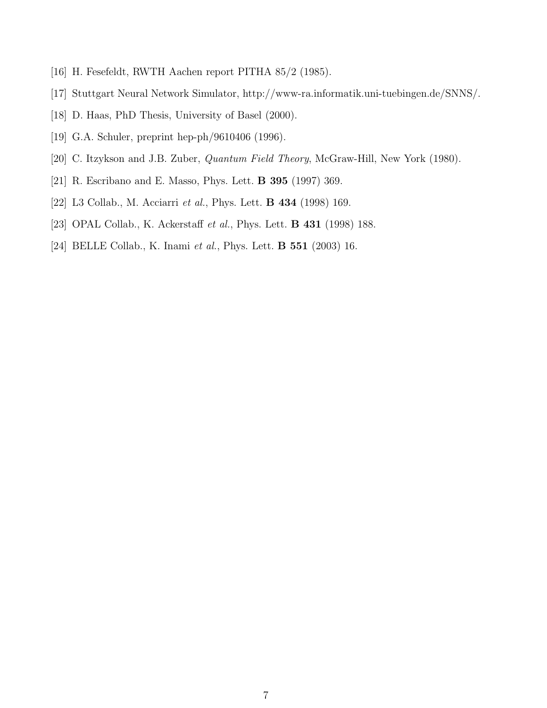- [16] H. Fesefeldt, RWTH Aachen report PITHA 85/2 (1985).
- [17] Stuttgart Neural Network Simulator, http://www-ra.informatik.uni-tuebingen.de/SNNS/.
- [18] D. Haas, PhD Thesis, University of Basel (2000).
- [19] G.A. Schuler, preprint hep-ph/9610406 (1996).
- [20] C. Itzykson and J.B. Zuber, *Quantum Field Theory*, McGraw-Hill, New York (1980).
- [21] R. Escribano and E. Masso, Phys. Lett. B 395 (1997) 369.
- [22] L3 Collab., M. Acciarri et al., Phys. Lett. B 434 (1998) 169.
- [23] OPAL Collab., K. Ackerstaff *et al.*, Phys. Lett. **B 431** (1998) 188.
- [24] BELLE Collab., K. Inami et al., Phys. Lett. **B 551** (2003) 16.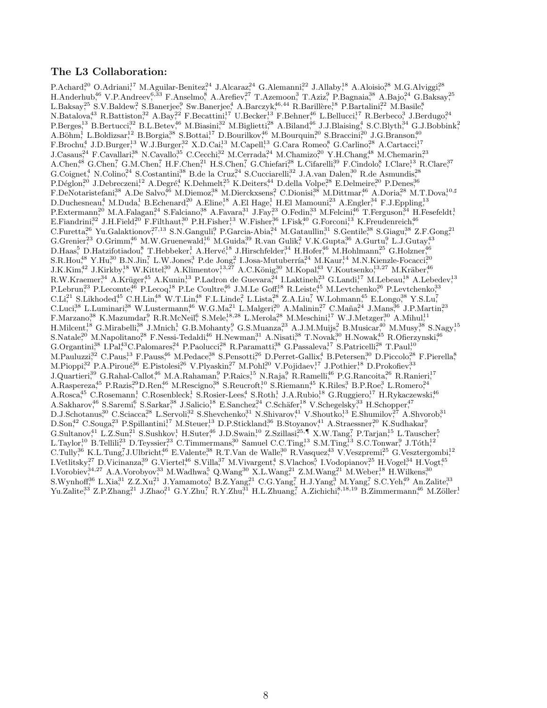#### The L3 Collaboration:

P.Achard<sup>20</sup> O.Adriani<sup>17</sup> M.Aguilar-Benitez<sup>24</sup> J.Alcaraz<sup>24</sup> G.Alemanni<sup>22</sup> J.Allaby<sup>18</sup> A.Aloisio<sup>28</sup> M.G.Alviggi<sup>28</sup>  $H.\text{Anderhub}^{46}_7 \text{ V.P.}\text{Anderev}^{6,33}_7 \text{ F.}\text{Anselmo}^8 \text{ A.} \text{Arefiev}^{27}\text{ T.} \text{Azemoon}^3$  T.Aziz $^9$  P.Bagnaia<sup>38</sup> A.Bajo,<sup>24</sup> G.Baksay,<sup>25</sup> L.Baksay<sup>25</sup> S.V.Baldew<sup>2</sup>, S.Banerjee,<sup>9</sup> Sw.Banerjee,<sup>4</sup> A.Barczyk,<sup>46,44</sup> R.Barillère,<sup>18</sup> P.Bartalini,<sup>22</sup> M.Basile,<sup>8</sup>  $N.Batalova<sup>43</sup>$  R.Battiston,<sup>32</sup> A.Bay,<sup>22</sup> F.Becattini,<sup>17</sup> U.Becker,<sup>13</sup> F.Behner,<sup>46</sup> L.Bellucci,<sup>17</sup> R.Berbeco,<sup>3</sup> J.Berdugo,<sup>24</sup>  $P.Berges<sup>13</sup>$  B.Bertucci<sup>32</sup> B.L.Betev<sup>46</sup> M.Biasini<sup>32</sup> M.Biglietti<sup>28</sup> A.Biland<sup>46</sup> J.J.Blaising<sup>4</sup>, S.C.Blyth<sup>34</sup> G.J.Bobbink<sup>2</sup>  $A.B\ddot{\mathrm{ohm}}^1$ , L.Boldizsar,<sup>12</sup> B.Borgia,<sup>38</sup> S.Bottai,<sup>17</sup> D.Bourilkov,<sup>46</sup> M.Bourquin,<sup>20</sup> S.Braccini,<sup>20</sup> J.G.Branson,<sup>40</sup>  $F.Brochu<sup>4</sup>, J.D.Burger<sup>13</sup>, W.J.Burger<sup>32</sup>, X.D.Cai<sup>13</sup>, M.Capel<sup>13</sup>, G.Cara Romeo<sup>8</sup>, G.Carlino<sup>28</sup>, A.Cartacci<sup>17</sup>, G.C.$ J.Casaus,<sup>24</sup> F.Cavallari,<sup>38</sup> N.Cavallo,<sup>35</sup> C.Cecchi,<sup>32</sup> M.Cerrada,<sup>24</sup> M.Chamizo,<sup>20</sup> Y.H.Chang,<sup>48</sup> M.Chemarin,<sup>23</sup> A.Chen,<sup>48</sup> G.Chen,<sup>7</sup> G.M.Chen,<sup>7</sup> H.F.Chen,<sup>21</sup> H.S.Chen,<sup>7</sup> G.Chiefari,<sup>28</sup> L.Cifarelli,<sup>39</sup> F.Cindolo,<sup>8</sup> I.Clare,<sup>13</sup> R.Clare,<sup>37</sup> G.Coignet<sup>4</sup>, N.Colino<sup>24</sup> S.Costantini,<sup>38</sup> B.de la Cruz<sup>24</sup> S.Cucciarelli,<sup>32</sup> J.A.van Dalen,<sup>30</sup> R.de Asmundis,<sup>28</sup>  $P.D'efolon<sup>20</sup>, J.Debreczeni<sup>12</sup>, A.Degré<sup>4</sup>, K.Dehmelt<sup>25</sup>, K.Deiters<sup>44</sup>, D.della Volpe<sup>28</sup>, E.Delmeire<sup>20</sup>, P.Denes<sup>36</sup>, A.D.$ F.DeNotaristefani,<sup>38</sup> A.De Salvo,<sup>46</sup> M.Diemoz,<sup>38</sup> M.Dierckxsens,<sup>2</sup> C.Dionisi,<sup>38</sup> M.Dittmar,<sup>46</sup> A.Doria,<sup>28</sup> M.T.Dova,<sup>10</sup>,♯  $D.Duchesneau,^4 M.Duda,^1 B.Echenard,^{20} A.Eline,^{18} A.EI Hage,^1 H.EI Mamouni,^{23} A.Engler,^{34} F.J.Eppling,^{13} A.g.,^{16} A.g.,^{17} A.g.,^{18} A.g.,^{19} A.g.,^{19} A.g.,^{19} A.g.,^{19} A.g.,^{19} A.g.,^{19} A.g.,^{19} A.g.,^{19} A.g.,^{19} A.g.,^{19} A.g.,^{19} A.g.,^{19} A.g.,^{19} A.g.,^{19} A.g.,^{19} A.g.,^{19} A.g.,^{19} A.g.,^{19} A.g.,$  $P.$ Extermann,<sup>20</sup> M.A.Falagan,<sup>24</sup> S.Falciano,<sup>38</sup> A.Favara,<sup>31</sup> J.Fay,<sup>23</sup> O.Fedin,<sup>33</sup> M.Felcini,<sup>46</sup> T.Ferguson,<sup>34</sup> H.Fesefeldt,<sup>1</sup>  $E.Fiandrini<sup>32</sup>, J.H.Field<sup>20</sup>, F.Filthaut<sup>30</sup>, P.H.Fisher<sup>13</sup>, W.Fisher<sup>36</sup>, I.Fisk<sup>40</sup>, G.Forconi<sup>13</sup>, K.Freudenreich<sup>46</sup>, F.F.$  $C.\text{Furetta}^{26}$  Yu.Galaktionov,<sup>27,13</sup> S.N.Ganguli,<sup>9</sup> P.Garcia-Abia,<sup>24</sup> M.Gataullin,<sup>31</sup> S.Gentile,<sup>38</sup> S.Giagu,<sup>38</sup> Z.F.Gong,<sup>21</sup>  $G.Grenier<sup>23</sup>, O.Grimm<sup>46</sup>, M.W.Gruenewald<sup>16</sup>, M.Guida<sup>39</sup>, R.van Gulik<sup>2</sup>, V.K.Gupta<sup>36</sup>, A.Gurtu<sup>9</sup>, L.J.Gutay<sup>43</sup>,$  $D.Haas<sup>5</sup>$  D.Hatzifotiadou, T.Hebbeker,<sup>1</sup> A.Hervé,<sup>18</sup> J.Hirschfelder,<sup>34</sup> H.Hofer,<sup>46</sup> M.Hohlmann,<sup>25</sup> G.Holzner,<sup>46</sup> S.R.Hou<sup>48</sup> Y.Hu<sup>30</sup> B.N.Jin,<sup>7</sup> L.W.Jones,<sup>3</sup> P.de Jong,<sup>2</sup> I.Josa-Mutuberría,<sup>24</sup> M.Kaur,<sup>14</sup> M.N.Kienzle-Focacci,<sup>20</sup>  $J.K.Kim<sup>42</sup> J.Kirkby<sup>18</sup> W.Kittel<sup>30</sup> A.Klimentov<sup>13,27</sup> A.C.König<sup>30</sup> M.Kopal<sup>43</sup> V.Koutsenko<sup>13,27</sup> M.Kräber<sup>46</sup>$ R.W.Kraemer<sup>34</sup> A.Krüger<sup>45</sup> A.Kunin<sup>13</sup> P.Ladron de Guevara<sup>24</sup> I.Laktineh<sup>23</sup> G.Landi<sup>17</sup> M.Lebeau<sup>18</sup> A.Lebedev<sup>13</sup>  $P.$ Lebrun,<sup>23</sup> P.Lecomte,<sup>46</sup> P.Lecoq,<sup>18</sup> P.Le Coultre,<sup>46</sup> J.M.Le Goff,<sup>18</sup> R.Leiste,<sup>45</sup> M.Levtchenko,<sup>26</sup> P.Levtchenko,<sup>33</sup>  $CLL<sup>21</sup>$  S.Likhoded<sup>45</sup> C.H.Lin<sup>48</sup> W.T.Lin<sup>48</sup> F.L.Linde,<sup>2</sup> L.Lista,<sup>28</sup> Z.A.Liu,<sup>7</sup> W.Lohmann,<sup>45</sup> E.Longo,<sup>38</sup> Y.S.Lu,<sup>7</sup>  $\text{C.Luci}^{38}$  L.Luminari<sup>38</sup> W.Lustermann<sup>46</sup> W.G.Ma<sup>21</sup> L.Malgeri<sup>20</sup> A.Malinin<sup>27</sup> C.Maña<sup>24</sup> J.Mans,<sup>36</sup> J.P.Martin<sup>23</sup> F.Marzano,<sup>38</sup> K.Mazumdar,<sup>9</sup> R.R.McNeil,<sup>6</sup> S.Mele,<sup>18,28</sup> L.Merola,<sup>28</sup> M.Meschini,<sup>17</sup> W.J.Metzger,<sup>30</sup> A.Mihul,<sup>11</sup>  $H.Milcent<sup>18</sup>$  G.Mirabelli<sup>38</sup> J.Mnich<sup>1</sup>, G.B.Mohanty<sup>9</sup>, G.S.Muanza<sup>23</sup> A.J.M.Muijs<sup>2</sup>, B.Musicar<sup>40</sup> M.Musy<sup>38</sup> S.Nagy<sup>15</sup>  $S.Natale<sup>20</sup> M.Napolitano<sup>28</sup>, F.Nessi-Tedaldi<sup>46</sup>, H.Newman<sup>31</sup>, A.Nisati<sup>38</sup>, T.Novak<sup>30</sup>, H.Nowak<sup>45</sup>, R.Ofierzynski<sup>46</sup>, H.Nowah<sup>46</sup>, H.Nowah<sup>47</sup>, H.Nowah<sup>48</sup>, H.Nowah<sup>49</sup>, H.Nowah<sup>49</sup>, H.Nowah<sup>49</sup>, H.Nowah<sup>40</sup>, H.Nowah<sup>40</sup>, H.Nowah<sup>41</sup>, H.Nowah<sup>40</sup>$ G.Organtini,<sup>38</sup> I.Pal,<sup>43</sup>C.Palomares,<sup>24</sup> P.Paolucci,<sup>28</sup> R.Paramatti,<sup>38</sup> G.Passaleva,<sup>17</sup> S.Patricelli,<sup>28</sup> T.Paul,<sup>10</sup> M.Pauluzzi<sup>32</sup> C.Paus<sup>13</sup> F.Pauss<sup>46</sup> M.Pedace<sup>38</sup> S.Pensotti<sup>26</sup> D.Perret-Gallix<sup>4</sup>, B.Petersen<sup>30</sup> D.Piccolo<sup>28</sup> F.Pierella<sup>8</sup>, M.Pioppi,<sup>32</sup> P.A.Piroué,<sup>36</sup> E.Pistolesi,<sup>26</sup> V.Plyaskin,<sup>27</sup> M.Pohl,<sup>20</sup> V.Pojidaev,<sup>17</sup> J.Pothier,<sup>18</sup> D.Prokofiev,<sup>33</sup> J.Quartieri,<sup>39</sup> G.Rahal-Callot,<sup>46</sup> M.A.Rahaman,<sup>9</sup> P.Raics,<sup>15</sup> N.Raja,<sup>9</sup> R.Ramelli,<sup>46</sup> P.G.Rancoita,<sup>26</sup> R.Ranieri,<sup>17</sup> A.Raspereza,<sup>45</sup> P.Razis,<sup>29</sup>D.Ren,<sup>46</sup> M.Rescigno,<sup>38</sup> S.Reucroft,<sup>10</sup> S.Riemann,<sup>45</sup> K.Riles,<sup>3</sup> B.P.Roe,<sup>3</sup> L.Romero,<sup>24</sup> A.Rosca<sup>45</sup> C.Rosemann,<sup>1</sup> C.Rosenbleck,<sup>1</sup> S.Rosier-Lees,<sup>4</sup> S.Roth,<sup>1</sup> J.A.Rubio,<sup>18</sup> G.Ruggiero,<sup>17</sup> H.Rykaczewski,<sup>46</sup>  $A.Sakharov<sup>46</sup>$  S.Saremi, S.Sarkar,<sup>38</sup> J.Salicio,<sup>18</sup> E.Sanchez,<sup>24</sup> C.Schäfer,<sup>18</sup> V.Schegelsky,<sup>33</sup> H.Schopper,<sup>47</sup>  $D.J.Schotanus<sup>30</sup>$  C.Sciacca<sup>28</sup> L.Servoli<sup>32</sup> S.Shevchenko<sup>31</sup> N.Shivarov<sup>41</sup> V.Shoutko<sup>13</sup> E.Shumilov<sup>27</sup> A.Shvorob<sup>31</sup> D.Son<sup>42</sup> C.Souga<sup>23</sup> P.Spillantini<sup>17</sup> M.Steuer<sup>13</sup> D.P.Stickland<sup>36</sup> B.Stoyanov<sup>41</sup> A.Straessner<sup>20</sup> K.Sudhakar<sup>9</sup> G.Sultanov,<sup>41</sup> L.Z.Sun,<sup>21</sup> S.Sushkov,<sup>1</sup> H.Suter,<sup>46</sup> J.D.Swain,<sup>10</sup> Z.Szillasi,<sup>25</sup>,¶ X.W.Tang,<sup>7</sup> P.Tarjan,<sup>15</sup> L.Tauscher,<sup>5</sup> L.Taylor<sup>10</sup> B.Tellili<sup>23</sup> D.Teyssier<sup>23</sup> C.Timmermans<sup>30</sup> Samuel C.C.Ting,<sup>13</sup> S.M.Ting,<sup>13</sup> S.C.Tonwar,<sup>9</sup> J.Tóth,<sup>12</sup>  $C.Tully<sup>36</sup>$  K.L.Tung,<sup>7</sup>J.Ulbricht,<sup>46</sup> E.Valente,<sup>38</sup> R.T.Van de Walle,<sup>30</sup> R.Vasquez,<sup>43</sup> V.Veszpremi,<sup>25</sup> G.Vesztergombi,<sup>12</sup>  $I. Vełlitsky<sup>27</sup>, D. Vicinanza<sup>39</sup>, G. Viertel<sup>46</sup>, S. Villa<sup>37</sup>, M. Vivargent<sup>4</sup>, S. Vlachos<sup>5</sup>, I. Vodopianov<sup>25</sup>, H. Vogel<sup>34</sup>, H. Voget<sup>45</sup>, H. V.$  $I.$ Vorobiev, $34.27$  A.A.Vorobyov, $33$  M.Wadhwa,  $5$  Q.Wang $30$  X.L.Wang, $21$  Z.M.Wang, $21$  M.Weber, $18$  H.Wilkens, $30$  $S.$ Wynhoff $36$  L.Xia $31$  Z.Z.Xu $31$  J.Yamamoto $3$  B.Z.Yang $31$  C.G.Yang $7$  H.J.Yang $3$  M.Yang $7$  S.C.Yeh $49$  An.Zalite $33$  $Yu.Zalite<sup>33</sup>, Z.P.Zhang<sup>21</sup>, J.Zhao<sup>21</sup>, G.Y.Zhu<sup>7</sup>, R.Y.Zhu<sup>31</sup>, H.L.Zhuang<sup>7</sup>, A.Zichichi<sup>8,18,19</sup>, B.Zimmermann<sup>46</sup>, M.Zöller<sup>1</sup>.15)$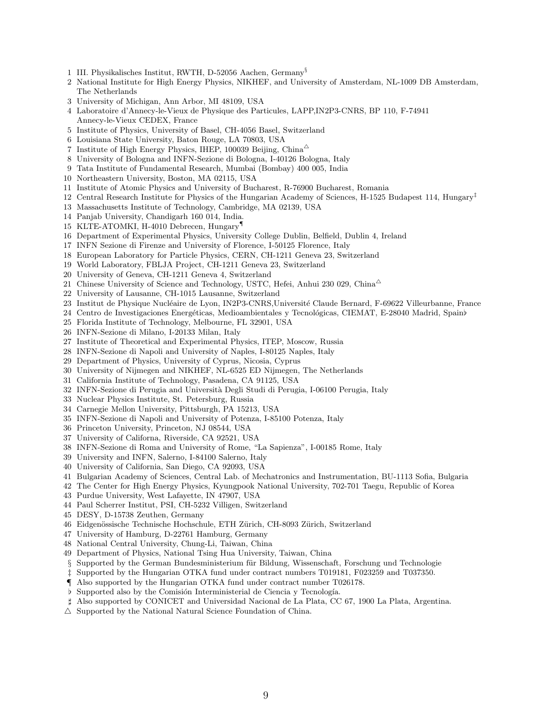- 1 III. Physikalisches Institut, RWTH, D-52056 Aachen, Germany§
- 2 National Institute for High Energy Physics, NIKHEF, and University of Amsterdam, NL-1009 DB Amsterdam, The Netherlands
- 3 University of Michigan, Ann Arbor, MI 48109, USA
- 4 Laboratoire d'Annecy-le-Vieux de Physique des Particules, LAPP,IN2P3-CNRS, BP 110, F-74941 Annecy-le-Vieux CEDEX, France
- 5 Institute of Physics, University of Basel, CH-4056 Basel, Switzerland
- 6 Louisiana State University, Baton Rouge, LA 70803, USA
- 7 Institute of High Energy Physics, IHEP, 100039 Beijing, China<sup> $\triangle$ </sup>
- 8 University of Bologna and INFN-Sezione di Bologna, I-40126 Bologna, Italy
- 9 Tata Institute of Fundamental Research, Mumbai (Bombay) 400 005, India
- 10 Northeastern University, Boston, MA 02115, USA
- 11 Institute of Atomic Physics and University of Bucharest, R-76900 Bucharest, Romania
- 12 Central Research Institute for Physics of the Hungarian Academy of Sciences, H-1525 Budapest 114, Hungary‡
- 13 Massachusetts Institute of Technology, Cambridge, MA 02139, USA
- 14 Panjab University, Chandigarh 160 014, India.
- 15 KLTE-ATOMKI, H-4010 Debrecen, Hungary¶
- 16 Department of Experimental Physics, University College Dublin, Belfield, Dublin 4, Ireland
- 17 INFN Sezione di Firenze and University of Florence, I-50125 Florence, Italy
- 18 European Laboratory for Particle Physics, CERN, CH-1211 Geneva 23, Switzerland
- 19 World Laboratory, FBLJA Project, CH-1211 Geneva 23, Switzerland
- 20 University of Geneva, CH-1211 Geneva 4, Switzerland
- 21 Chinese University of Science and Technology, USTC, Hefei, Anhui 230 029, China $^{\triangle}$
- 22 University of Lausanne, CH-1015 Lausanne, Switzerland
- 23 Institut de Physique Nucléaire de Lyon, IN2P3-CNRS,Université Claude Bernard, F-69622 Villeurbanne, France
- 24 Centro de Investigaciones Energéticas, Medioambientales y Tecnológicas, CIEMAT, E-28040 Madrid, Spain♭
- 25 Florida Institute of Technology, Melbourne, FL 32901, USA
- 26 INFN-Sezione di Milano, I-20133 Milan, Italy
- 27 Institute of Theoretical and Experimental Physics, ITEP, Moscow, Russia
- 28 INFN-Sezione di Napoli and University of Naples, I-80125 Naples, Italy
- 29 Department of Physics, University of Cyprus, Nicosia, Cyprus
- 30 University of Nijmegen and NIKHEF, NL-6525 ED Nijmegen, The Netherlands
- 31 California Institute of Technology, Pasadena, CA 91125, USA
- 32 INFN-Sezione di Perugia and Universit`a Degli Studi di Perugia, I-06100 Perugia, Italy
- 33 Nuclear Physics Institute, St. Petersburg, Russia
- 34 Carnegie Mellon University, Pittsburgh, PA 15213, USA
- 35 INFN-Sezione di Napoli and University of Potenza, I-85100 Potenza, Italy
- 36 Princeton University, Princeton, NJ 08544, USA
- 37 University of Californa, Riverside, CA 92521, USA
- 38 INFN-Sezione di Roma and University of Rome, "La Sapienza", I-00185 Rome, Italy
- 39 University and INFN, Salerno, I-84100 Salerno, Italy
- 40 University of California, San Diego, CA 92093, USA
- 41 Bulgarian Academy of Sciences, Central Lab. of Mechatronics and Instrumentation, BU-1113 Sofia, Bulgaria
- 42 The Center for High Energy Physics, Kyungpook National University, 702-701 Taegu, Republic of Korea
- 43 Purdue University, West Lafayette, IN 47907, USA
- 44 Paul Scherrer Institut, PSI, CH-5232 Villigen, Switzerland
- 45 DESY, D-15738 Zeuthen, Germany
- 46 Eidgenössische Technische Hochschule, ETH Zürich, CH-8093 Zürich, Switzerland
- 47 University of Hamburg, D-22761 Hamburg, Germany
- 48 National Central University, Chung-Li, Taiwan, China
- 49 Department of Physics, National Tsing Hua University, Taiwan, China
- § Supported by the German Bundesministerium für Bildung, Wissenschaft, Forschung und Technologie
- ‡ Supported by the Hungarian OTKA fund under contract numbers T019181, F023259 and T037350.
- ¶ Also supported by the Hungarian OTKA fund under contract number T026178.
- **b** Supported also by the Comisión Interministerial de Ciencia y Tecnología.
- ♯ Also supported by CONICET and Universidad Nacional de La Plata, CC 67, 1900 La Plata, Argentina.
- $\triangle$  Supported by the National Natural Science Foundation of China.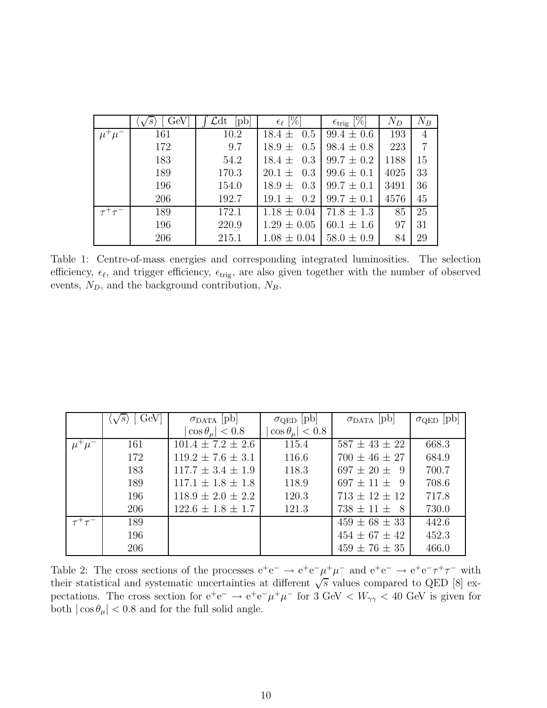|                                      | GeV | pb    | $\epsilon_{\ell}$ $ \overline{\%} $ | $\epsilon_{\mathrm{trig}}$ [%] | $N_D$ | $N_B$          |
|--------------------------------------|-----|-------|-------------------------------------|--------------------------------|-------|----------------|
|                                      | 161 | 10.2  | $18.4 \pm 0.5$                      | $99.4 \pm 0.6$                 | 193   | 4              |
|                                      | 172 | 9.7   | $18.9 \pm 0.5$                      | $98.4 \pm 0.8$                 | 223   | $\overline{7}$ |
|                                      | 183 | 54.2  | 0.3<br>$18.4 \pm$                   | $99.7 \pm 0.2$                 | 1188  | 15             |
|                                      | 189 | 170.3 | $20.1 \pm 0.3$                      | $99.6 \pm 0.1$                 | 4025  | 33             |
|                                      | 196 | 154.0 | 0.3<br>$18.9 \pm$                   | $99.7 \pm 0.1$                 | 3491  | 36             |
|                                      | 206 | 192.7 | $19.1 \pm 0.2$                      | $99.7 \pm 0.1$                 | 4576  | 45             |
| $\tau^{\scriptscriptstyle \top}\tau$ | 189 | 172.1 | $1.18 \pm 0.04$                     | $71.8 \pm 1.3$                 | 85    | 25             |
|                                      | 196 | 220.9 | $1.29 \pm 0.05$                     | $60.1 \pm 1.6$                 | 97    | 31             |
|                                      | 206 | 215.1 | $1.08 \pm 0.04$                     | $58.0 \pm 0.9$                 | 84    | 29             |

Table 1: Centre-of-mass energies and corresponding integrated luminosities. The selection efficiency,  $\epsilon_{\ell}$ , and trigger efficiency,  $\epsilon_{\text{trig}}$ , are also given together with the number of observed events,  $N_D$ , and the background contribution,  $N_B$ .

|              | GeV<br>$\langle \sqrt{s} \rangle$ | $\sigma_{\text{DATA}}$ [pb] | $\sigma_{\text{QED}}$  pb | $\sigma_{\text{DATA}}$  pb | $\sigma_{\rm QED}$ |
|--------------|-----------------------------------|-----------------------------|---------------------------|----------------------------|--------------------|
|              |                                   | $\cos \theta_\mu   < 0.8$   | $\cos \theta_{\mu}$ < 0.8 |                            |                    |
| $\mu^-\mu^-$ | 161                               | $101.4 \pm 7.2 \pm 2.6$     | 115.4                     | $587 \pm 43 \pm 22$        | 668.3              |
|              | 172                               | $119.2 \pm 7.6 \pm 3.1$     | 116.6                     | $700 \pm 46 \pm 27$        | 684.9              |
|              | 183                               | $117.7 \pm 3.4 \pm 1.9$     | 118.3                     | $697 \pm 20 \pm 1$<br>-9   | 700.7              |
|              | 189                               | $117.1 \pm 1.8 \pm 1.8$     | 118.9                     | $697 \pm 11 \pm 9$         | 708.6              |
|              | 196                               | $118.9 \pm 2.0 \pm 2.2$     | 120.3                     | $713 \pm 12 \pm 12$        | 717.8              |
|              | 206                               | $122.6 \pm 1.8 \pm 1.7$     | 121.3                     | $738 \pm 11 \pm 8$         | 730.0              |
|              | 189                               |                             |                           | $459 \pm 68 \pm 33$        | 442.6              |
|              | 196                               |                             |                           | $454 \pm 67 \pm 42$        | 452.3              |
|              | 206                               |                             |                           | $459 \pm 76 \pm 35$        | 466.0              |

Table 2: The cross sections of the processes  $e^+e^- \rightarrow e^+e^-\mu^+\mu^-$  and  $e^+e^- \rightarrow e^+e^-\tau^+\tau^-$  with their statistical and systematic uncertainties at different  $\sqrt{s}$  values compared to QED [8] expectations. The cross section for  $e^+e^- \to e^+e^-\mu^+\mu^-$  for 3 GeV <  $W_{\gamma\gamma}$  < 40 GeV is given for both  $|\cos\theta_\mu|<0.8$  and for the full solid angle.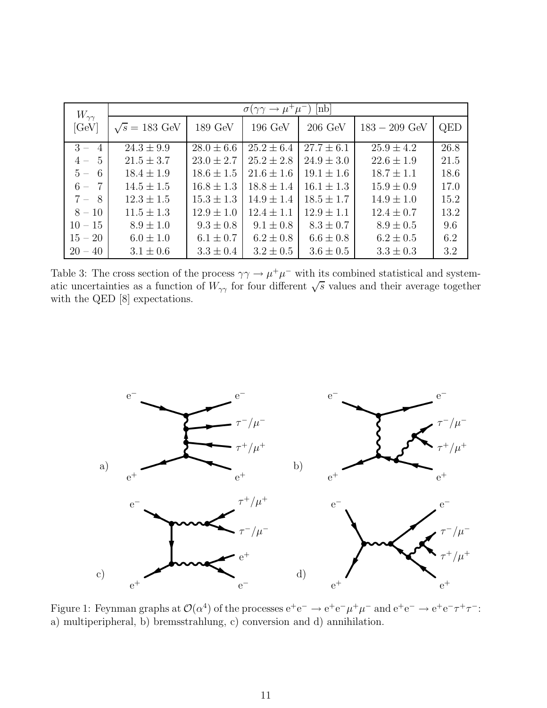| $W_{\gamma\gamma}$ | $[{\rm nb}]$<br>$\sigma(\gamma\gamma \to \mu^+\mu^-$ |                   |                |                   |                 |      |  |
|--------------------|------------------------------------------------------|-------------------|----------------|-------------------|-----------------|------|--|
| [GeV]              | $\sqrt{s} = 183$ GeV                                 | $189\,\text{GeV}$ | 196 GeV        | $206 \text{ GeV}$ | $183 - 209$ GeV | QED  |  |
| $3 -$<br>4         | $24.3 \pm 9.9$                                       | $28.0 \pm 6.6$    | $25.2 \pm 6.4$ | $27.7 \pm 6.1$    | $25.9 \pm 4.2$  | 26.8 |  |
| - 5<br>$4-$        | $21.5 \pm 3.7$                                       | $23.0 \pm 2.7$    | $25.2 \pm 2.8$ | $24.9 \pm 3.0$    | $22.6 \pm 1.9$  | 21.5 |  |
| 6<br>$5 -$         | $18.4 \pm 1.9$                                       | $18.6 \pm 1.5$    | $21.6 \pm 1.6$ | $19.1 \pm 1.6$    | $18.7 \pm 1.1$  | 18.6 |  |
| $6 -$<br>-7        | $14.5 \pm 1.5$                                       | $16.8 \pm 1.3$    | $18.8 \pm 1.4$ | $16.1 \pm 1.3$    | $15.9 \pm 0.9$  | 17.0 |  |
| $7 - 8$            | $12.3 \pm 1.5$                                       | $15.3 \pm 1.3$    | $14.9 \pm 1.4$ | $18.5 \pm 1.7$    | $14.9 \pm 1.0$  | 15.2 |  |
| $8 - 10$           | $11.5 \pm 1.3$                                       | $12.9 \pm 1.0$    | $12.4 \pm 1.1$ | $12.9 \pm 1.1$    | $12.4 \pm 0.7$  | 13.2 |  |
| $10 - 15$          | $8.9 \pm 1.0$                                        | $9.3 \pm 0.8$     | $9.1 \pm 0.8$  | $8.3 \pm 0.7$     | $8.9 \pm 0.5$   | 9.6  |  |
| $15 - 20$          | $6.0 \pm 1.0$                                        | $6.1 \pm 0.7$     | $6.2 \pm 0.8$  | $6.6 \pm 0.8$     | $6.2 \pm 0.5$   | 6.2  |  |
| $20 - 40$          | $3.1 \pm 0.6$                                        | $3.3 \pm 0.4$     | $3.2 \pm 0.5$  | $3.6 \pm 0.5$     | $3.3 \pm 0.3$   | 3.2  |  |

Table 3: The cross section of the process  $\gamma\gamma \to \mu^+\mu^-$  with its combined statistical and systematic uncertainties as a function of  $W_{\gamma\gamma}$  for four different  $\sqrt{s}$  values and their average together with the QED [8] expectations.



Figure 1: Feynman graphs at  $\mathcal{O}(\alpha^4)$  of the processes  $e^+e^- \to e^+e^-\mu^+\mu^-$  and  $e^+e^- \to e^+e^-\tau^+\tau^-$ : a) multiperipheral, b) bremsstrahlung, c) conversion and d) annihilation.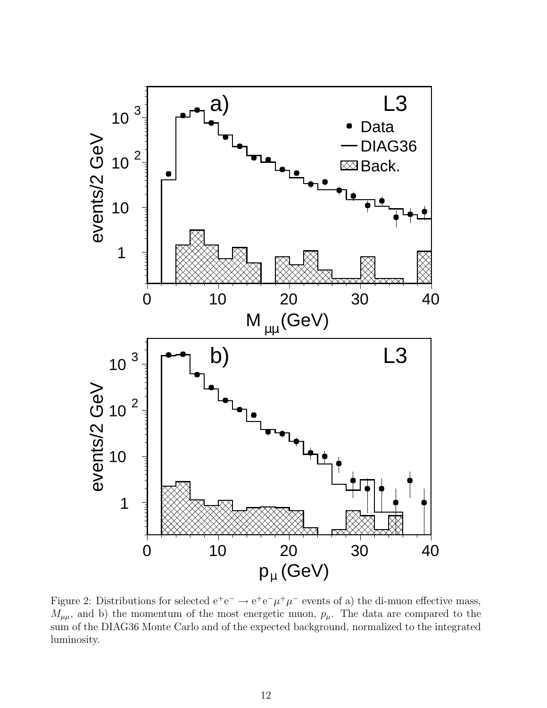

Figure 2: Distributions for selected  $e^+e^- \rightarrow e^+e^-\mu^+\mu^-$  events of a) the di-muon effective mass,  $M_{\mu\mu}$ , and b) the momentum of the most energetic muon,  $p_{\mu}$ . The data are compared to the sum of the DIAG36 Monte Carlo and of the expected background, normalized to the integrated luminosity.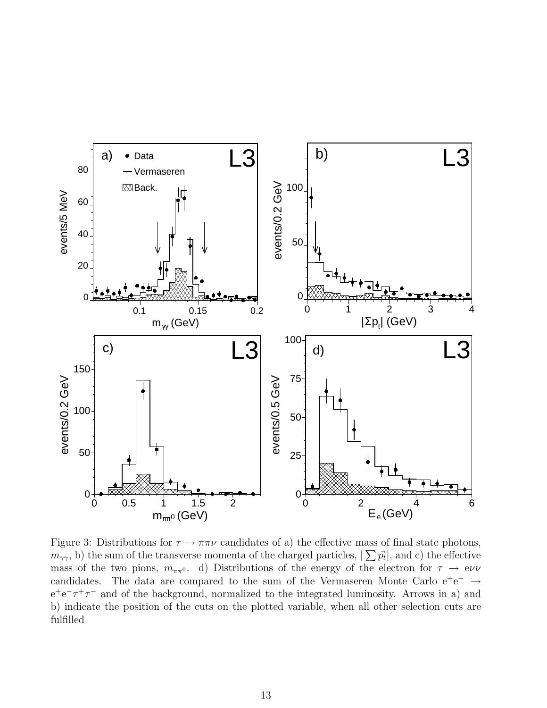

Figure 3: Distributions for  $\tau \to \pi \pi \nu$  candidates of a) the effective mass of final state photons,  $(m_{\gamma\gamma}, b)$  the sum of the transverse momenta of the charged particles,  $|\sum \vec{p_t}|$ , and c) the effective mass of the two pions,  $m_{\pi\pi^0}$ . d) Distributions of the energy of the electron for  $\tau \to e\nu\nu$ candidates. The data are compared to the sum of the Vermaseren Monte Carlo  $e^+e^- \rightarrow$  $e^+e^-\tau^+\tau^-$  and of the background, normalized to the integrated luminosity. Arrows in a) and b) indicate the position of the cuts on the plotted variable, when all other selection cuts are fulfilled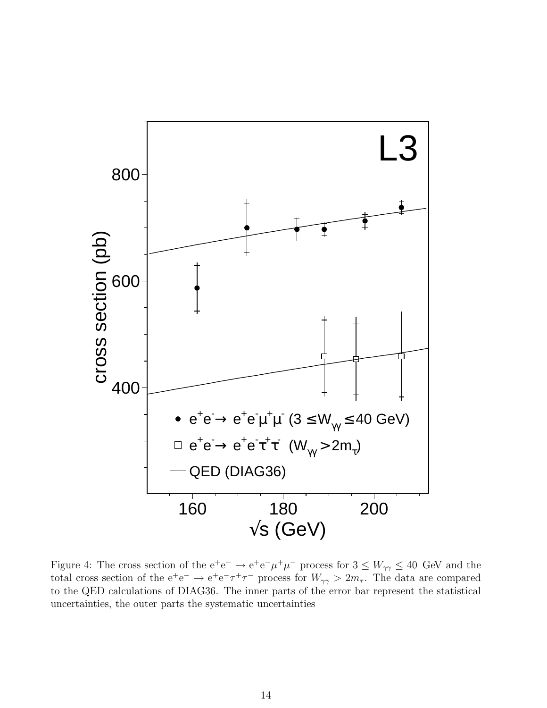

Figure 4: The cross section of the  $e^+e^- \to e^+e^-\mu^+\mu^-$  process for  $3 \leq W_{\gamma\gamma} \leq 40$  GeV and the total cross section of the  $e^+e^- \to e^+e^-\tau^+\tau^-$  process for  $W_{\gamma\gamma} > 2m_\tau$ . The data are compared to the QED calculations of DIAG36. The inner parts of the error bar represent the statistical uncertainties, the outer parts the systematic uncertainties